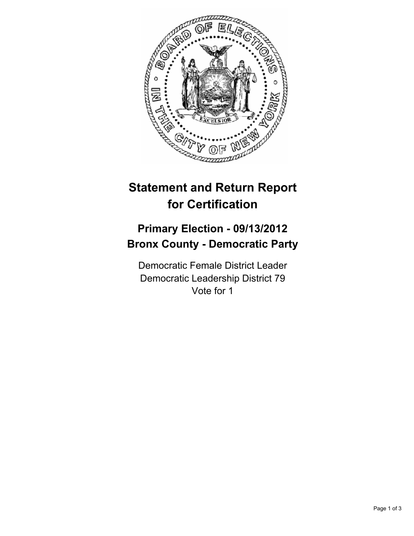

## **Statement and Return Report for Certification**

## **Primary Election - 09/13/2012 Bronx County - Democratic Party**

Democratic Female District Leader Democratic Leadership District 79 Vote for 1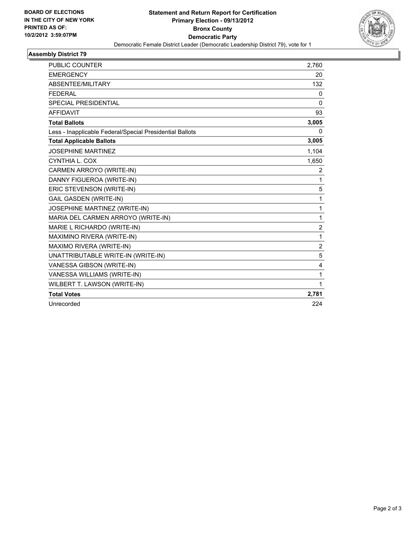

## **Assembly District 79**

| <b>PUBLIC COUNTER</b>                                    | 2,760          |
|----------------------------------------------------------|----------------|
| <b>EMERGENCY</b>                                         | 20             |
| ABSENTEE/MILITARY                                        | 132            |
| <b>FEDERAL</b>                                           | 0              |
| <b>SPECIAL PRESIDENTIAL</b>                              | 0              |
| <b>AFFIDAVIT</b>                                         | 93             |
| <b>Total Ballots</b>                                     | 3,005          |
| Less - Inapplicable Federal/Special Presidential Ballots | 0              |
| <b>Total Applicable Ballots</b>                          | 3,005          |
| <b>JOSEPHINE MARTINEZ</b>                                | 1,104          |
| CYNTHIA L. COX                                           | 1,650          |
| CARMEN ARROYO (WRITE-IN)                                 | $\overline{2}$ |
| DANNY FIGUEROA (WRITE-IN)                                | 1              |
| ERIC STEVENSON (WRITE-IN)                                | 5              |
| <b>GAIL GASDEN (WRITE-IN)</b>                            | 1              |
| JOSEPHINE MARTINEZ (WRITE-IN)                            | 1              |
| MARIA DEL CARMEN ARROYO (WRITE-IN)                       | 1              |
| MARIE L RICHARDO (WRITE-IN)                              | $\overline{2}$ |
| MAXIMINO RIVERA (WRITE-IN)                               | 1              |
| MAXIMO RIVERA (WRITE-IN)                                 | $\overline{2}$ |
| UNATTRIBUTABLE WRITE-IN (WRITE-IN)                       | 5              |
| VANESSA GIBSON (WRITE-IN)                                | 4              |
| VANESSA WILLIAMS (WRITE-IN)                              | 1              |
| WILBERT T. LAWSON (WRITE-IN)                             | 1              |
| <b>Total Votes</b>                                       | 2,781          |
| Unrecorded                                               | 224            |